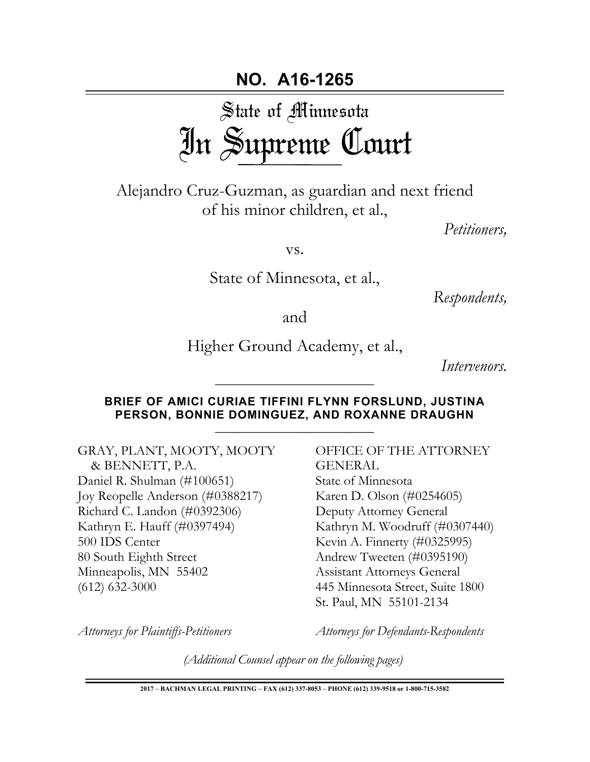# State of Minnesota In Supreme Court

Alejandro Cruz-Guzman, as guardian and next friend of his minor children, et al.,

*Petitioners,*

vs.

State of Minnesota, et al.,

*Respondents,*

and

Higher Ground Academy, et al.,

*Intervenors.* 

### **BRIEF OF AMICI CURIAE TIFFINI FLYNN FORSLUND, JUSTINA PERSON, BONNIE DOMINGUEZ, AND ROXANNE DRAUGHN**

\_\_\_\_\_\_\_\_\_\_\_\_\_\_\_\_\_\_\_\_\_\_\_\_\_\_\_

GRAY, PLANT, MOOTY, MOOTY & BENNETT, P.A. Daniel R. Shulman (#100651) Joy Reopelle Anderson (#0388217) Richard C. Landon (#0392306) Kathryn E. Hauff (#0397494) 500 IDS Center 80 South Eighth Street Minneapolis, MN 55402 (612) 632-3000

OFFICE OF THE ATTORNEY GENERAL State of Minnesota Karen D. Olson (#0254605) Deputy Attorney General Kathryn M. Woodruff (#0307440) Kevin A. Finnerty (#0325995) Andrew Tweeten (#0395190) Assistant Attorneys General 445 Minnesota Street, Suite 1800 St. Paul, MN 55101-2134

*Attorneys for Plaintiffs-Petitioners*

*Attorneys for Defendants-Respondents* 

*(Additional Counsel appear on the following pages)*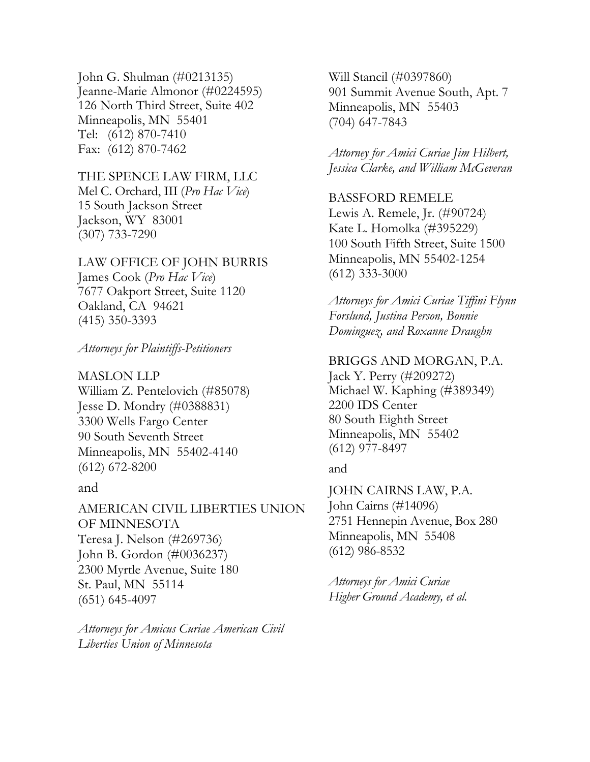John G. Shulman (#0213135) Jeanne-Marie Almonor (#0224595) 126 North Third Street, Suite 402 Minneapolis, MN 55401 Tel: (612) 870-7410 Fax: (612) 870-7462

THE SPENCE LAW FIRM, LLC Mel C. Orchard, III (*Pro Hac Vice*) 15 South Jackson Street Jackson, WY 83001 (307) 733-7290

LAW OFFICE OF JOHN BURRIS James Cook (*Pro Hac Vice*) 7677 Oakport Street, Suite 1120 Oakland, CA 94621 (415) 350-3393

*Attorneys for Plaintiffs-Petitioners*

MASLON LLP William Z. Pentelovich (#85078) Jesse D. Mondry (#0388831) 3300 Wells Fargo Center 90 South Seventh Street Minneapolis, MN 55402-4140 (612) 672-8200

#### and

AMERICAN CIVIL LIBERTIES UNION OF MINNESOTA Teresa J. Nelson (#269736) John B. Gordon (#0036237) 2300 Myrtle Avenue, Suite 180 St. Paul, MN 55114 (651) 645-4097

*Attorneys for Amicus Curiae American Civil Liberties Union of Minnesota*

Will Stancil (#0397860) 901 Summit Avenue South, Apt. 7 Minneapolis, MN 55403 (704) 647-7843

*Attorney for Amici Curiae Jim Hilbert, Jessica Clarke, and William McGeveran*

BASSFORD REMELE Lewis A. Remele, Jr. (#90724) Kate L. Homolka (#395229) 100 South Fifth Street, Suite 1500 Minneapolis, MN 55402-1254 (612) 333-3000

*Attorneys for Amici Curiae Tiffini Flynn Forslund, Justina Person, Bonnie Dominguez, and Roxanne Draughn*

BRIGGS AND MORGAN, P.A.

Jack Y. Perry (#209272) Michael W. Kaphing (#389349) 2200 IDS Center 80 South Eighth Street Minneapolis, MN 55402 (612) 977-8497

and

JOHN CAIRNS LAW, P.A. John Cairns (#14096) 2751 Hennepin Avenue, Box 280 Minneapolis, MN 55408 (612) 986-8532

*Attorneys for Amici Curiae Higher Ground Academy, et al.*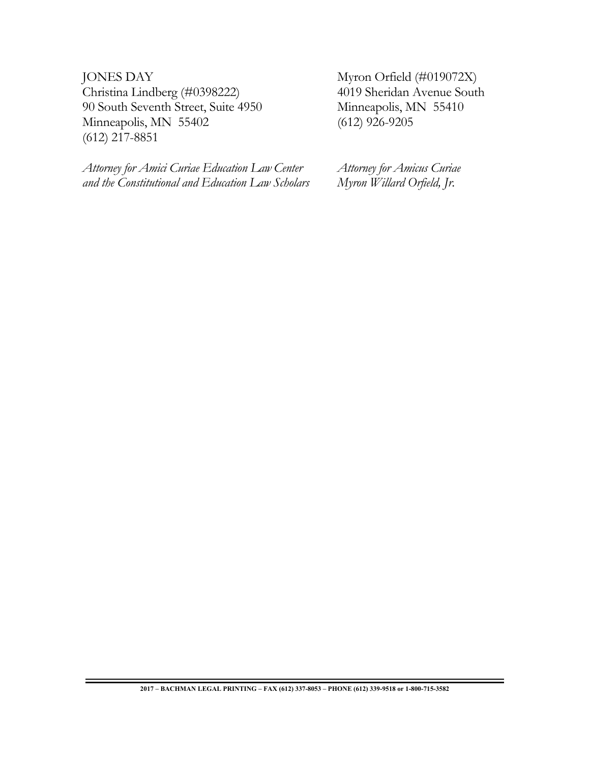JONES DAY Christina Lindberg (#0398222) 90 South Seventh Street, Suite 4950 Minneapolis, MN 55402 (612) 217-8851

*Attorney for Amici Curiae Education Law Center and the Constitutional and Education Law Scholars*

Myron Orfield (#019072X) 4019 Sheridan Avenue South Minneapolis, MN 55410 (612) 926-9205

*Attorney for Amicus Curiae Myron Willard Orfield, Jr.*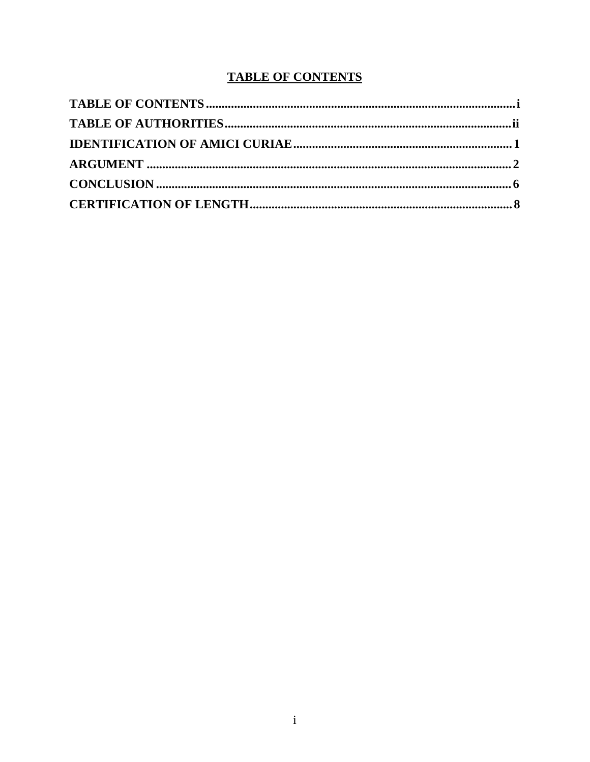# **TABLE OF CONTENTS**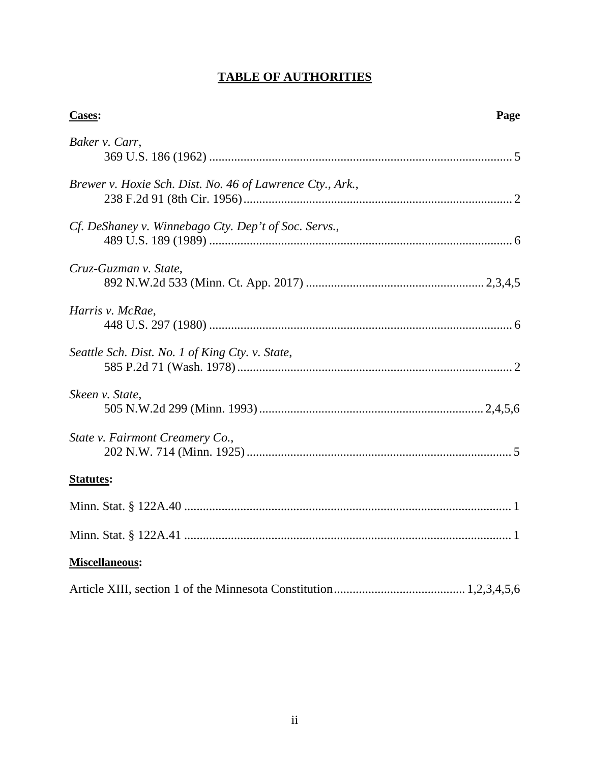# **TABLE OF AUTHORITIES**

| Cases:                                                    | Page |
|-----------------------------------------------------------|------|
| Baker v. Carr,                                            |      |
| Brewer v. Hoxie Sch. Dist. No. 46 of Lawrence Cty., Ark., |      |
| Cf. DeShaney v. Winnebago Cty. Dep't of Soc. Servs.,      |      |
| Cruz-Guzman v. State,                                     |      |
| Harris v. McRae,                                          |      |
| Seattle Sch. Dist. No. 1 of King Cty. v. State,           |      |
| Skeen v. State,                                           |      |
| State v. Fairmont Creamery Co.,                           |      |
| <b>Statutes:</b>                                          |      |
|                                                           |      |
|                                                           |      |
| Miscellaneous:                                            |      |
|                                                           |      |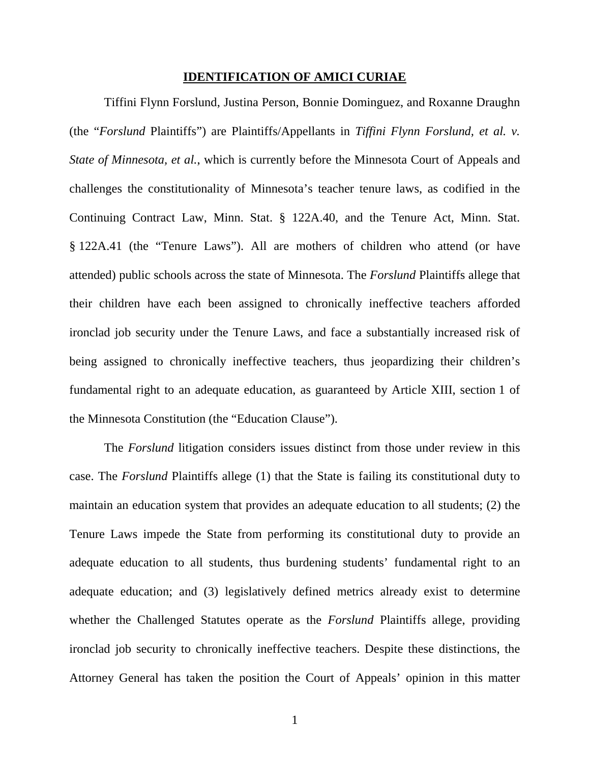#### **IDENTIFICATION OF AMICI CURIAE**

Tiffini Flynn Forslund, Justina Person, Bonnie Dominguez, and Roxanne Draughn (the "*Forslund* Plaintiffs") are Plaintiffs/Appellants in *Tiffini Flynn Forslund, et al. v. State of Minnesota, et al.*, which is currently before the Minnesota Court of Appeals and challenges the constitutionality of Minnesota's teacher tenure laws, as codified in the Continuing Contract Law, Minn. Stat. § 122A.40, and the Tenure Act, Minn. Stat. § 122A.41 (the "Tenure Laws"). All are mothers of children who attend (or have attended) public schools across the state of Minnesota. The *Forslund* Plaintiffs allege that their children have each been assigned to chronically ineffective teachers afforded ironclad job security under the Tenure Laws, and face a substantially increased risk of being assigned to chronically ineffective teachers, thus jeopardizing their children's fundamental right to an adequate education, as guaranteed by Article XIII, section 1 of the Minnesota Constitution (the "Education Clause").

The *Forslund* litigation considers issues distinct from those under review in this case. The *Forslund* Plaintiffs allege (1) that the State is failing its constitutional duty to maintain an education system that provides an adequate education to all students; (2) the Tenure Laws impede the State from performing its constitutional duty to provide an adequate education to all students, thus burdening students' fundamental right to an adequate education; and (3) legislatively defined metrics already exist to determine whether the Challenged Statutes operate as the *Forslund* Plaintiffs allege, providing ironclad job security to chronically ineffective teachers. Despite these distinctions, the Attorney General has taken the position the Court of Appeals' opinion in this matter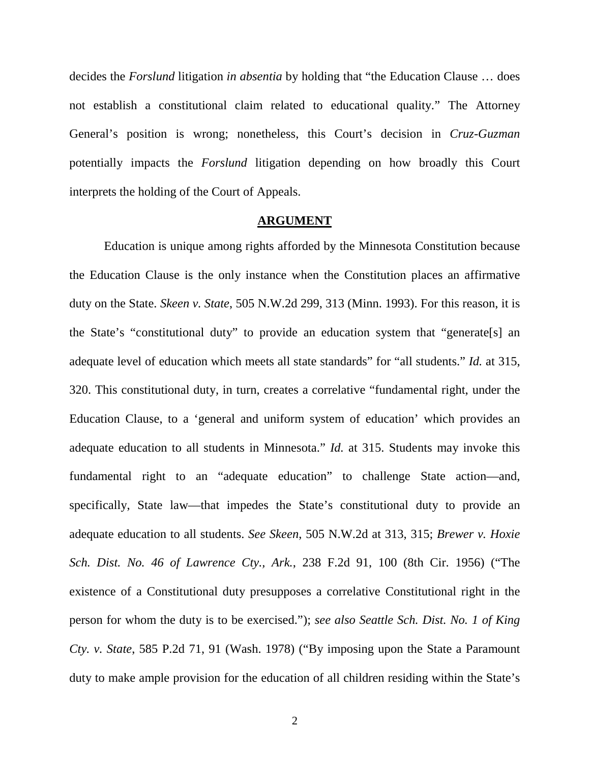decides the *Forslund* litigation *in absentia* by holding that "the Education Clause … does not establish a constitutional claim related to educational quality." The Attorney General's position is wrong; nonetheless, this Court's decision in *Cruz-Guzman* potentially impacts the *Forslund* litigation depending on how broadly this Court interprets the holding of the Court of Appeals.

#### **ARGUMENT**

Education is unique among rights afforded by the Minnesota Constitution because the Education Clause is the only instance when the Constitution places an affirmative duty on the State. *Skeen v. State*, 505 N.W.2d 299, 313 (Minn. 1993). For this reason, it is the State's "constitutional duty" to provide an education system that "generate[s] an adequate level of education which meets all state standards" for "all students." *Id.* at 315, 320. This constitutional duty, in turn, creates a correlative "fundamental right, under the Education Clause, to a 'general and uniform system of education' which provides an adequate education to all students in Minnesota." *Id.* at 315. Students may invoke this fundamental right to an "adequate education" to challenge State action—and, specifically, State law—that impedes the State's constitutional duty to provide an adequate education to all students. *See Skeen*, 505 N.W.2d at 313, 315; *Brewer v. Hoxie Sch. Dist. No. 46 of Lawrence Cty., Ark.*, 238 F.2d 91, 100 (8th Cir. 1956) ("The existence of a Constitutional duty presupposes a correlative Constitutional right in the person for whom the duty is to be exercised."); *see also Seattle Sch. Dist. No. 1 of King Cty. v. State*, 585 P.2d 71, 91 (Wash. 1978) ("By imposing upon the State a Paramount duty to make ample provision for the education of all children residing within the State's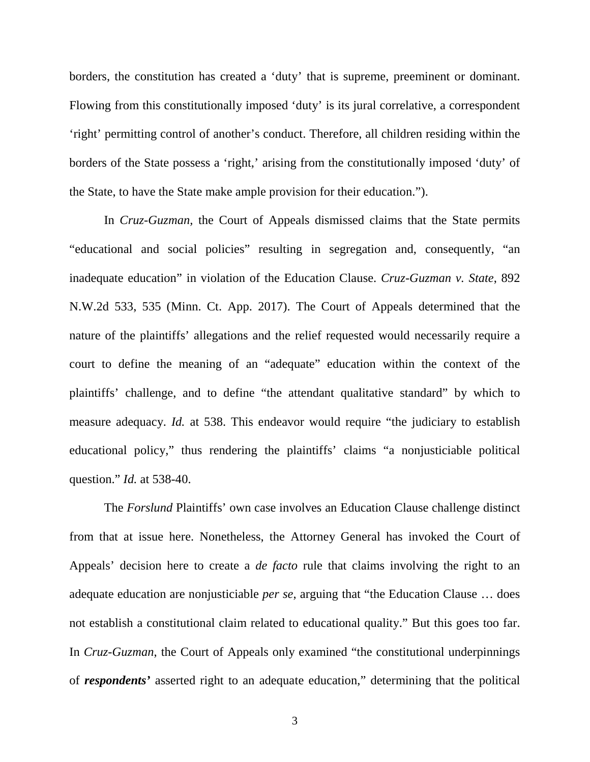borders, the constitution has created a 'duty' that is supreme, preeminent or dominant. Flowing from this constitutionally imposed 'duty' is its jural correlative, a correspondent 'right' permitting control of another's conduct. Therefore, all children residing within the borders of the State possess a 'right,' arising from the constitutionally imposed 'duty' of the State, to have the State make ample provision for their education.").

In *Cruz-Guzman,* the Court of Appeals dismissed claims that the State permits "educational and social policies" resulting in segregation and, consequently, "an inadequate education" in violation of the Education Clause. *Cruz-Guzman v. State*, 892 N.W.2d 533, 535 (Minn. Ct. App. 2017). The Court of Appeals determined that the nature of the plaintiffs' allegations and the relief requested would necessarily require a court to define the meaning of an "adequate" education within the context of the plaintiffs' challenge, and to define "the attendant qualitative standard" by which to measure adequacy. *Id.* at 538. This endeavor would require "the judiciary to establish educational policy," thus rendering the plaintiffs' claims "a nonjusticiable political question." *Id.* at 538-40.

The *Forslund* Plaintiffs' own case involves an Education Clause challenge distinct from that at issue here. Nonetheless, the Attorney General has invoked the Court of Appeals' decision here to create a *de facto* rule that claims involving the right to an adequate education are nonjusticiable *per se*, arguing that "the Education Clause … does not establish a constitutional claim related to educational quality." But this goes too far. In *Cruz-Guzman*, the Court of Appeals only examined "the constitutional underpinnings of *respondents'* asserted right to an adequate education," determining that the political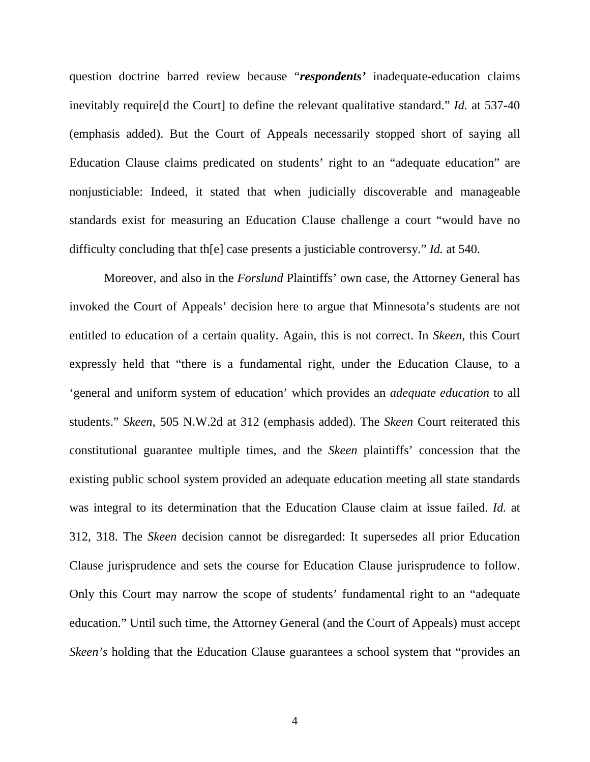question doctrine barred review because "*respondents'* inadequate-education claims inevitably require[d the Court] to define the relevant qualitative standard." *Id.* at 537-40 (emphasis added). But the Court of Appeals necessarily stopped short of saying all Education Clause claims predicated on students' right to an "adequate education" are nonjusticiable: Indeed, it stated that when judicially discoverable and manageable standards exist for measuring an Education Clause challenge a court "would have no difficulty concluding that th[e] case presents a justiciable controversy." *Id.* at 540.

Moreover, and also in the *Forslund* Plaintiffs' own case, the Attorney General has invoked the Court of Appeals' decision here to argue that Minnesota's students are not entitled to education of a certain quality. Again, this is not correct. In *Skeen*, this Court expressly held that "there is a fundamental right, under the Education Clause, to a 'general and uniform system of education' which provides an *adequate education* to all students." *Skeen*, 505 N.W.2d at 312 (emphasis added). The *Skeen* Court reiterated this constitutional guarantee multiple times, and the *Skeen* plaintiffs' concession that the existing public school system provided an adequate education meeting all state standards was integral to its determination that the Education Clause claim at issue failed. *Id.* at 312, 318. The *Skeen* decision cannot be disregarded: It supersedes all prior Education Clause jurisprudence and sets the course for Education Clause jurisprudence to follow. Only this Court may narrow the scope of students' fundamental right to an "adequate education." Until such time, the Attorney General (and the Court of Appeals) must accept *Skeen's* holding that the Education Clause guarantees a school system that "provides an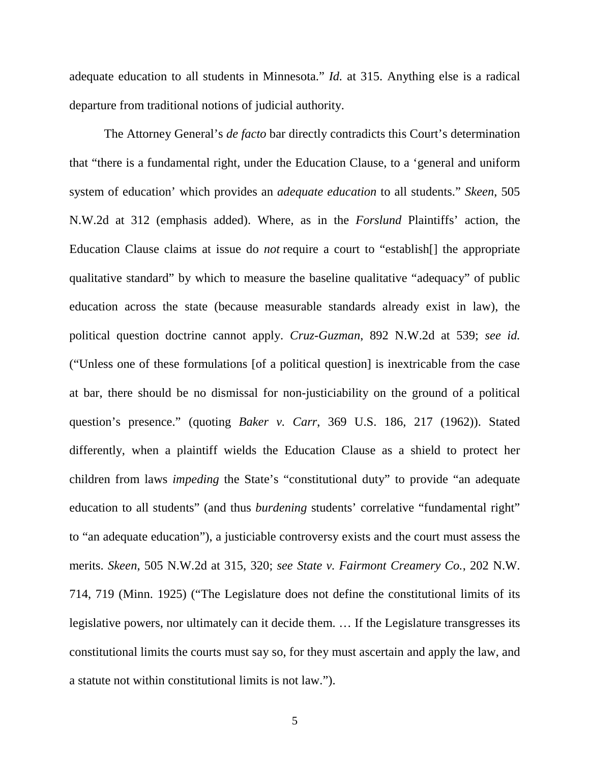adequate education to all students in Minnesota." *Id.* at 315. Anything else is a radical departure from traditional notions of judicial authority.

The Attorney General's *de facto* bar directly contradicts this Court's determination that "there is a fundamental right, under the Education Clause, to a 'general and uniform system of education' which provides an *adequate education* to all students." *Skeen*, 505 N.W.2d at 312 (emphasis added). Where, as in the *Forslund* Plaintiffs' action, the Education Clause claims at issue do *not* require a court to "establish[] the appropriate qualitative standard" by which to measure the baseline qualitative "adequacy" of public education across the state (because measurable standards already exist in law), the political question doctrine cannot apply. *Cruz-Guzman*, 892 N.W.2d at 539; *see id.* ("Unless one of these formulations [of a political question] is inextricable from the case at bar, there should be no dismissal for non-justiciability on the ground of a political question's presence." (quoting *Baker v. Carr*, 369 U.S. 186, 217 (1962)). Stated differently, when a plaintiff wields the Education Clause as a shield to protect her children from laws *impeding* the State's "constitutional duty" to provide "an adequate education to all students" (and thus *burdening* students' correlative "fundamental right" to "an adequate education"), a justiciable controversy exists and the court must assess the merits. *Skeen*, 505 N.W.2d at 315, 320; *see State v. Fairmont Creamery Co.*, 202 N.W. 714, 719 (Minn. 1925) ("The Legislature does not define the constitutional limits of its legislative powers, nor ultimately can it decide them. … If the Legislature transgresses its constitutional limits the courts must say so, for they must ascertain and apply the law, and a statute not within constitutional limits is not law.").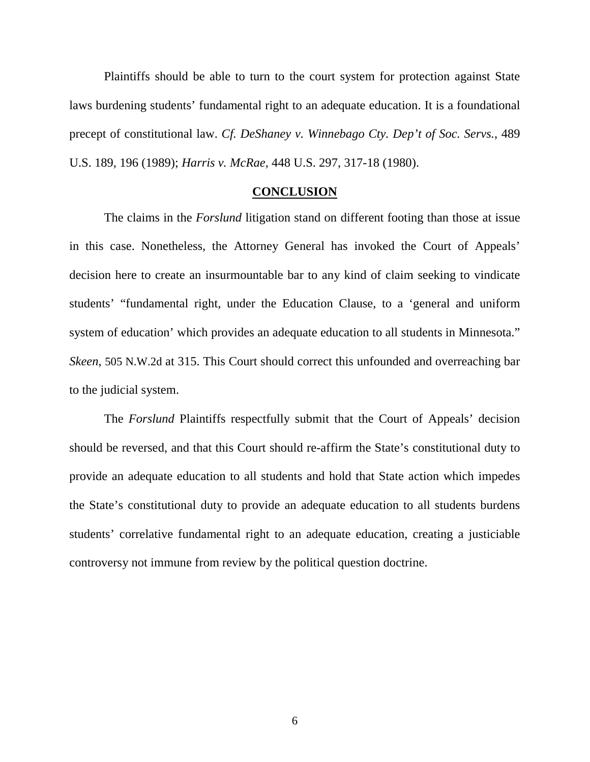Plaintiffs should be able to turn to the court system for protection against State laws burdening students' fundamental right to an adequate education. It is a foundational precept of constitutional law. *Cf. DeShaney v. Winnebago Cty. Dep't of Soc. Servs.*, 489 U.S. 189, 196 (1989); *Harris v. McRae*, 448 U.S. 297, 317-18 (1980).

#### **CONCLUSION**

The claims in the *Forslund* litigation stand on different footing than those at issue in this case. Nonetheless, the Attorney General has invoked the Court of Appeals' decision here to create an insurmountable bar to any kind of claim seeking to vindicate students' "fundamental right, under the Education Clause, to a 'general and uniform system of education' which provides an adequate education to all students in Minnesota." *Skeen*, 505 N.W.2d at 315. This Court should correct this unfounded and overreaching bar to the judicial system.

The *Forslund* Plaintiffs respectfully submit that the Court of Appeals' decision should be reversed, and that this Court should re-affirm the State's constitutional duty to provide an adequate education to all students and hold that State action which impedes the State's constitutional duty to provide an adequate education to all students burdens students' correlative fundamental right to an adequate education, creating a justiciable controversy not immune from review by the political question doctrine.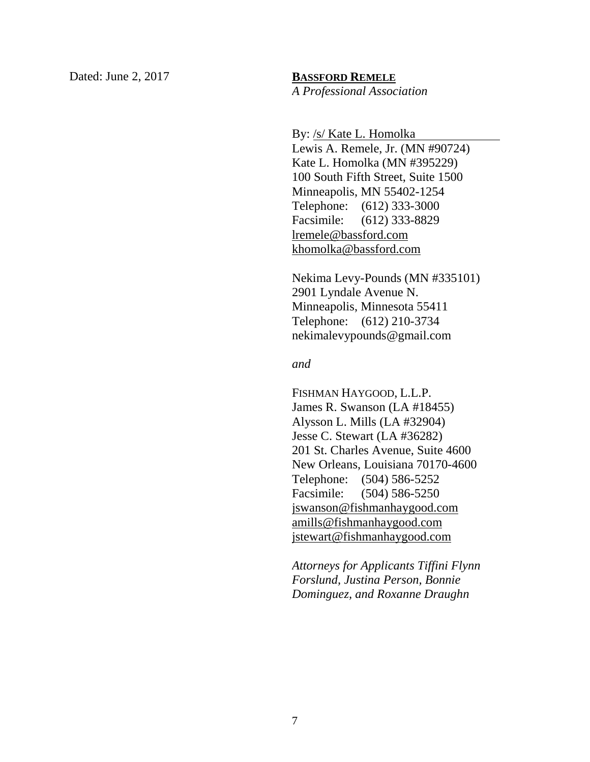#### Dated: June 2, 2017 **BASSFORD REMELE**

*A Professional Association*

By: /s/ Kate L. Homolka

Lewis A. Remele, Jr. (MN #90724) Kate L. Homolka (MN #395229) 100 South Fifth Street, Suite 1500 Minneapolis, MN 55402-1254 Telephone: (612) 333-3000 Facsimile: (612) 333-8829 lremele@bassford.com khomolka@bassford.com

Nekima Levy-Pounds (MN #335101) 2901 Lyndale Avenue N. Minneapolis, Minnesota 55411 Telephone: (612) 210-3734 nekimalevypounds@gmail.com

#### *and*

FISHMAN HAYGOOD, L.L.P. James R. Swanson (LA #18455) Alysson L. Mills (LA #32904) Jesse C. Stewart (LA #36282) 201 St. Charles Avenue, Suite 4600 New Orleans, Louisiana 70170-4600 Telephone: (504) 586-5252 Facsimile: (504) 586-5250 jswanson@fishmanhaygood.com amills@fishmanhaygood.com jstewart@fishmanhaygood.com

*Attorneys for Applicants Tiffini Flynn Forslund, Justina Person, Bonnie Dominguez, and Roxanne Draughn*